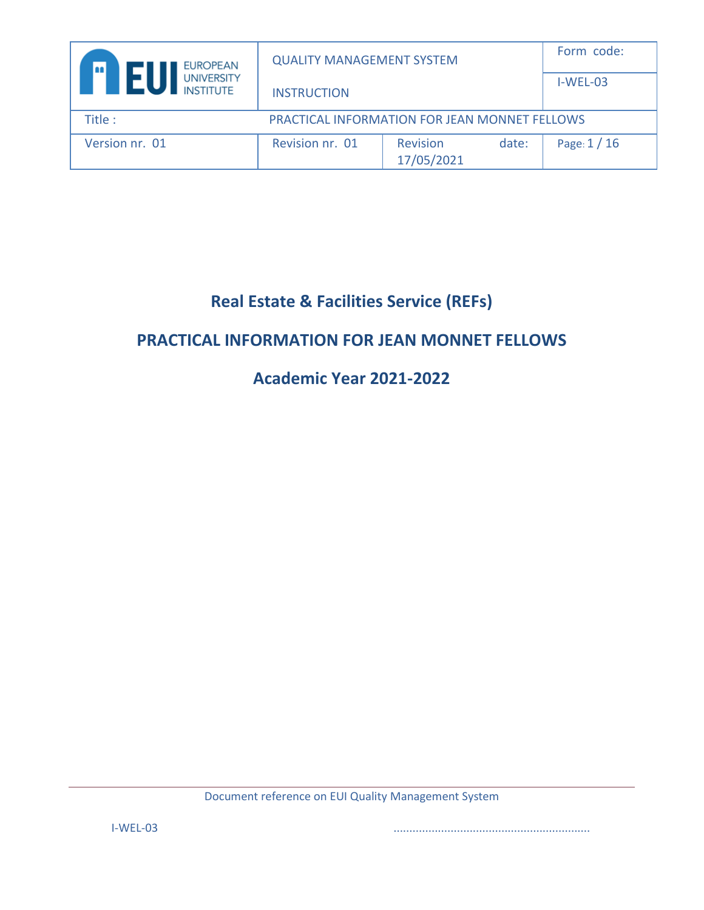| <b>EUROPEAN</b><br>an j               | <b>QUALITY MANAGEMENT SYSTEM</b>                     |                               | Form code: |              |
|---------------------------------------|------------------------------------------------------|-------------------------------|------------|--------------|
| <b>UNIVERSITY</b><br><b>INSTITUTE</b> | <b>INSTRUCTION</b>                                   |                               |            | $I-WEL-03$   |
| Title :                               | <b>PRACTICAL INFORMATION FOR JEAN MONNET FELLOWS</b> |                               |            |              |
| Version nr. 01                        | Revision nr. 01                                      | <b>Revision</b><br>17/05/2021 | date:      | Page: $1/16$ |

# **Real Estate & Facilities Service (REFs)**

# **PRACTICAL INFORMATION FOR JEAN MONNET FELLOWS**

# **Academic Year 2021-2022**

Document reference on EUI Quality Management System

I-WEL-03 ..............................................................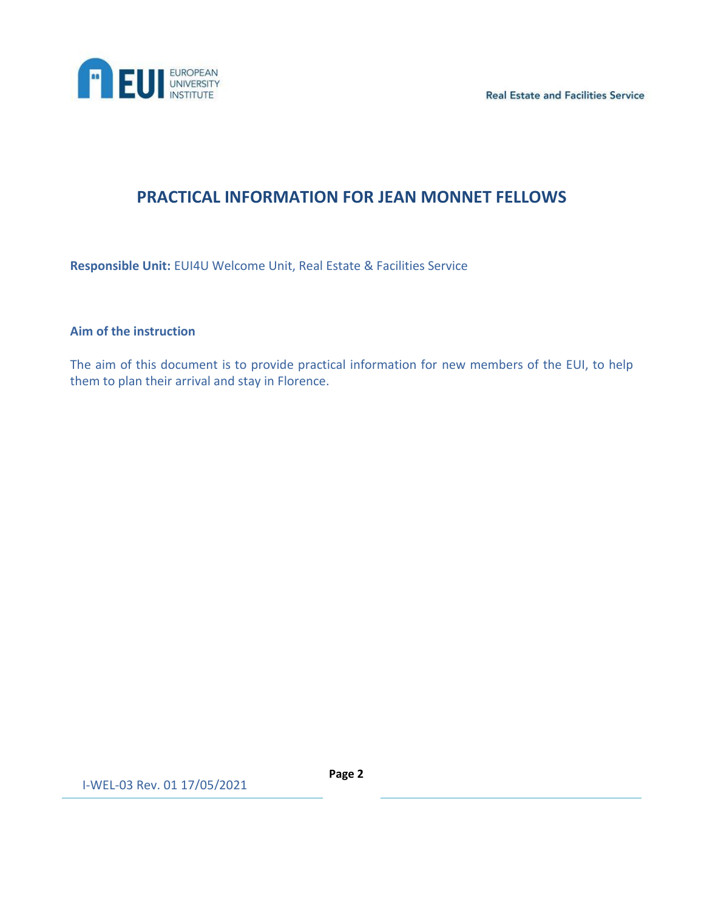



# **PRACTICAL INFORMATION FOR JEAN MONNET FELLOWS**

**Responsible Unit:** EUI4U Welcome Unit, Real Estate & Facilities Service

## **Aim of the instruction**

The aim of this document is to provide practical information for new members of the EUI, to help them to plan their arrival and stay in Florence.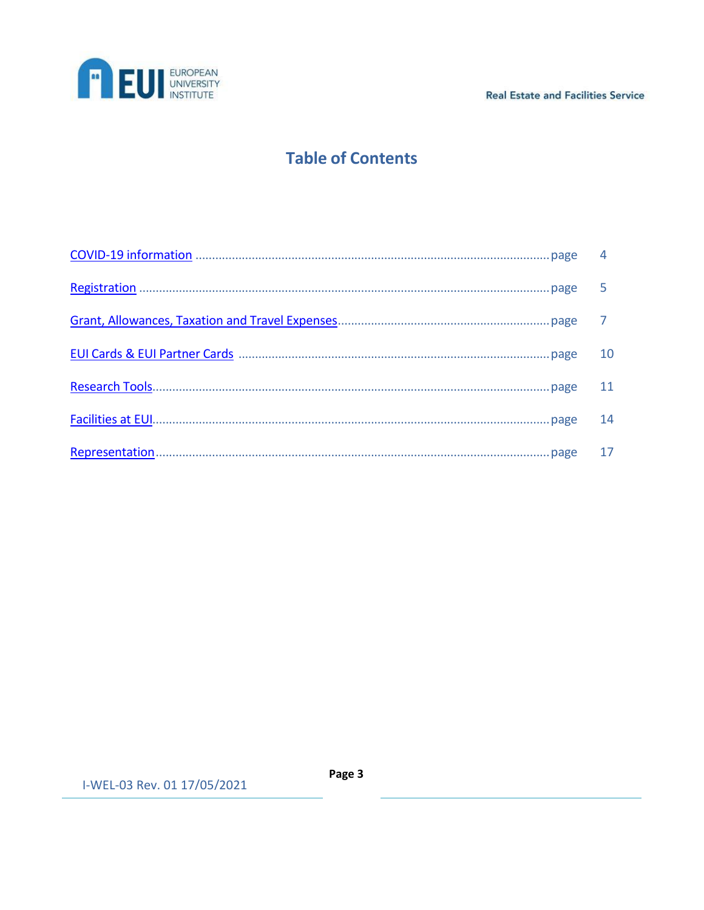

**Real Estate and Facilities Service** 

# **Table of Contents**

| - 11 |
|------|
| 14   |
| 17   |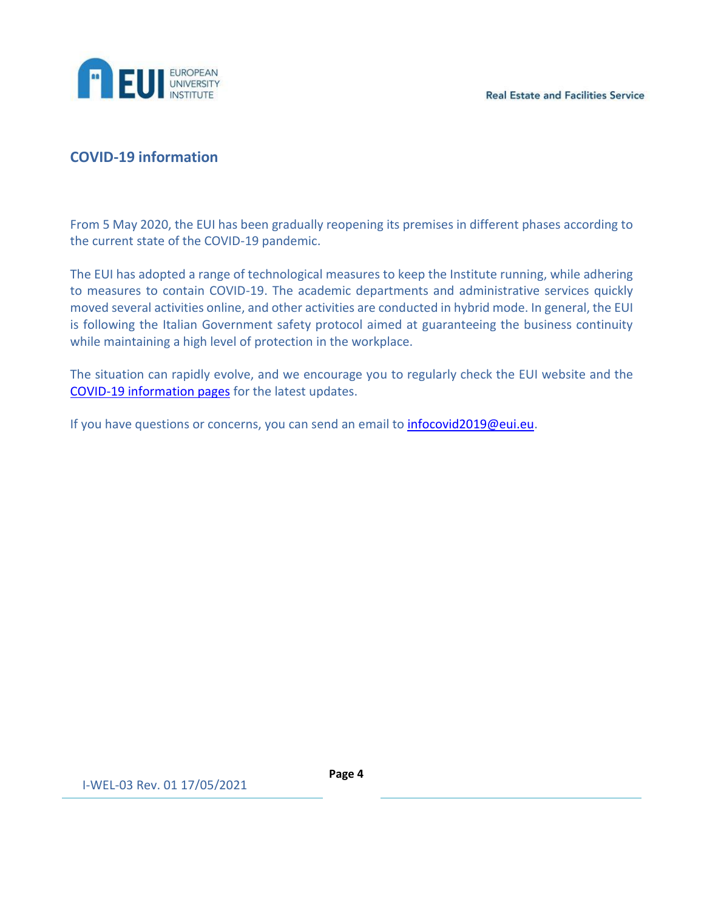

# <span id="page-3-0"></span>**COVID-19 information**

From 5 May 2020, the EUI has been gradually reopening its premises in different phases according to the current state of the COVID-19 pandemic.

The EUI has adopted a range of technological measures to keep the Institute running, while adhering to measures to contain COVID-19. The academic departments and administrative services quickly moved several activities online, and other activities are conducted in hybrid mode. In general, the EUI is following the Italian Government safety protocol aimed at guaranteeing the business continuity while maintaining a high level of protection in the workplace.

The situation can rapidly evolve, and we encourage you to regularly check the EUI website and the [COVID-19 information pages](https://www.eui.eu/ServicesAndAdmin/CommunicationsService/News/2020/COVID2019-virus#FAQContact) for the latest updates.

If you have questions or concerns, you can send an email to *infocovid2019@eui.eu*.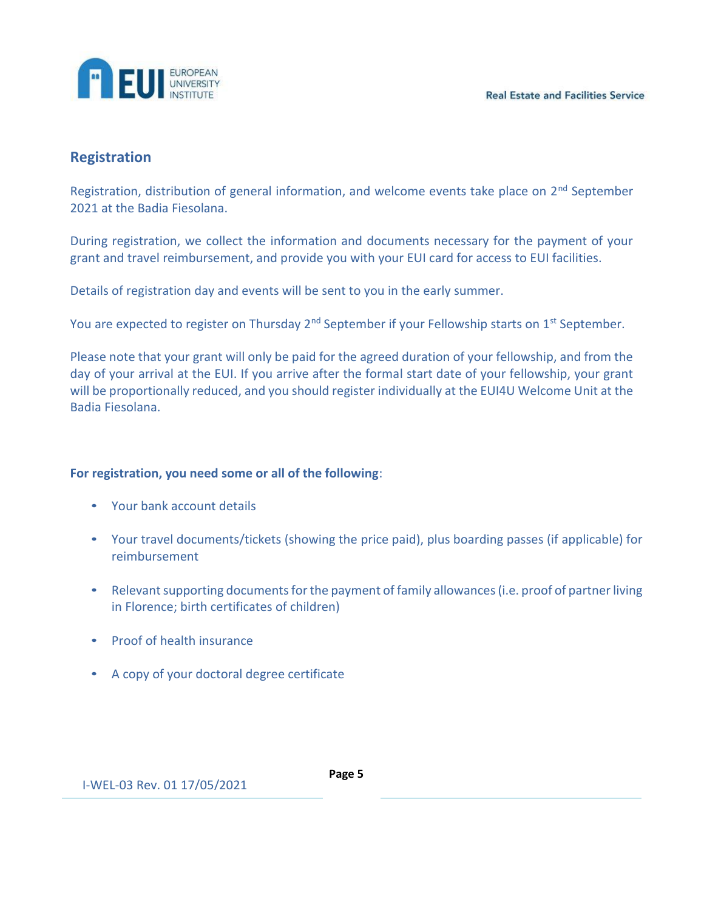

# <span id="page-4-0"></span>**Registration**

Registration, distribution of general information, and welcome events take place on 2<sup>nd</sup> September 2021 at the Badia Fiesolana.

During registration, we collect the information and documents necessary for the payment of your grant and travel reimbursement, and provide you with your EUI card for access to EUI facilities.

Details of registration day and events will be sent to you in the early summer.

You are expected to register on Thursday  $2^{nd}$  September if your Fellowship starts on  $1^{st}$  September.

Please note that your grant will only be paid for the agreed duration of your fellowship, and from the day of your arrival at the EUI. If you arrive after the formal start date of your fellowship, your grant will be proportionally reduced, and you should register individually at the EUI4U Welcome Unit at the Badia Fiesolana.

# **For registration, you need some or all of the following**:

- Your bank account details
- Your travel documents/tickets (showing the price paid), plus boarding passes (if applicable) for reimbursement
- Relevant supporting documents for the payment of family allowances (i.e. proof of partner living in Florence; birth certificates of children)
- Proof of health insurance
- A copy of your doctoral degree certificate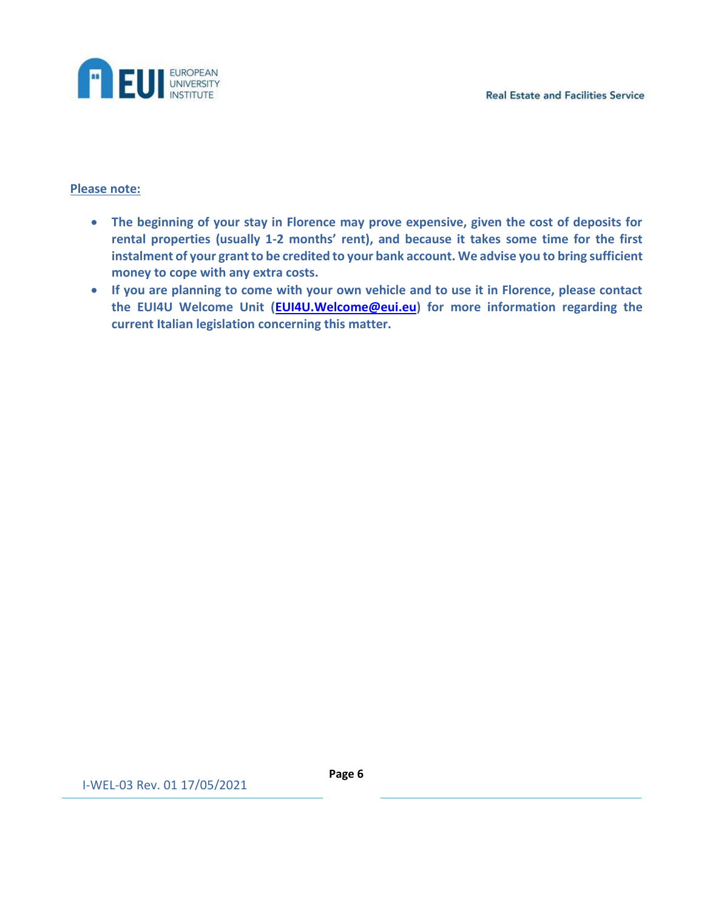

#### **Please note:**

- **The beginning of your stay in Florence may prove expensive, given the cost of deposits for rental properties (usually 1-2 months' rent), and because it takes some time for the first instalment of your grant to be credited to your bank account. We advise you to bring sufficient money to cope with any extra costs.**
- **If you are planning to come with your own vehicle and to use it in Florence, please contact the EUI4U Welcome Unit [\(EUI4U.Welcome@eui.eu\)](mailto:EUI4U.Welcome@eui.eu) for more information regarding the current Italian legislation concerning this matter.**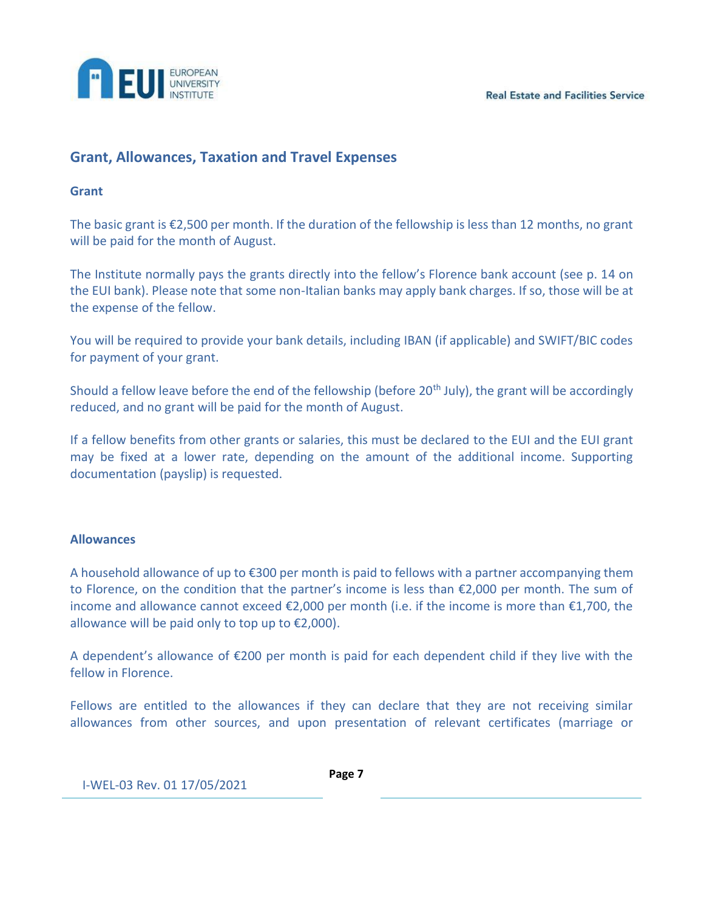**Real Estate and Facilities Service** 



# <span id="page-6-0"></span>**Grant, Allowances, Taxation and Travel Expenses**

#### **Grant**

The basic grant is €2,500 per month. If the duration of the fellowship is less than 12 months, no grant will be paid for the month of August.

The Institute normally pays the grants directly into the fellow's Florence bank account (see p. 14 on the EUI bank). Please note that some non-Italian banks may apply bank charges. If so, those will be at the expense of the fellow.

You will be required to provide your bank details, including IBAN (if applicable) and SWIFT/BIC codes for payment of your grant.

Should a fellow leave before the end of the fellowship (before 20<sup>th</sup> July), the grant will be accordingly reduced, and no grant will be paid for the month of August.

If a fellow benefits from other grants or salaries, this must be declared to the EUI and the EUI grant may be fixed at a lower rate, depending on the amount of the additional income. Supporting documentation (payslip) is requested.

#### **Allowances**

A household allowance of up to €300 per month is paid to fellows with a partner accompanying them to Florence, on the condition that the partner's income is less than €2,000 per month. The sum of income and allowance cannot exceed €2,000 per month (i.e. if the income is more than €1,700, the allowance will be paid only to top up to  $E2,000$ ).

A dependent's allowance of  $\epsilon$ 200 per month is paid for each dependent child if they live with the fellow in Florence.

Fellows are entitled to the allowances if they can declare that they are not receiving similar allowances from other sources, and upon presentation of relevant certificates (marriage or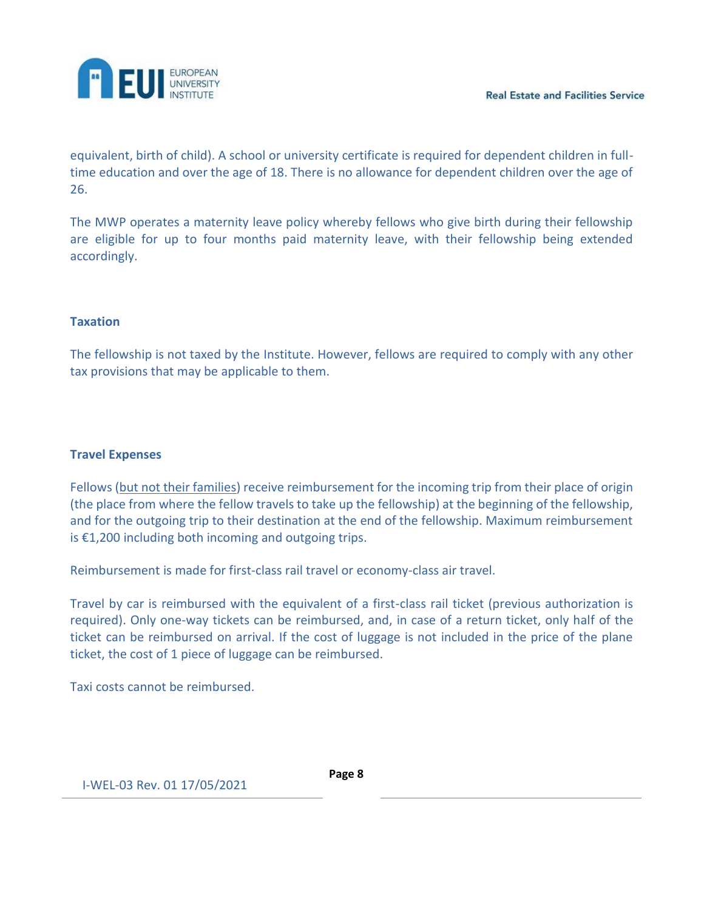

equivalent, birth of child). A school or university certificate is required for dependent children in fulltime education and over the age of 18. There is no allowance for dependent children over the age of 26.

The MWP operates a maternity leave policy whereby fellows who give birth during their fellowship are eligible for up to four months paid maternity leave, with their fellowship being extended accordingly.

## **Taxation**

The fellowship is not taxed by the Institute. However, fellows are required to comply with any other tax provisions that may be applicable to them.

## **Travel Expenses**

Fellows (but not their families) receive reimbursement for the incoming trip from their place of origin (the place from where the fellow travels to take up the fellowship) at the beginning of the fellowship, and for the outgoing trip to their destination at the end of the fellowship. Maximum reimbursement is €1,200 including both incoming and outgoing trips.

Reimbursement is made for first-class rail travel or economy-class air travel.

Travel by car is reimbursed with the equivalent of a first-class rail ticket (previous authorization is required). Only one-way tickets can be reimbursed, and, in case of a return ticket, only half of the ticket can be reimbursed on arrival. If the cost of luggage is not included in the price of the plane ticket, the cost of 1 piece of luggage can be reimbursed.

Taxi costs cannot be reimbursed.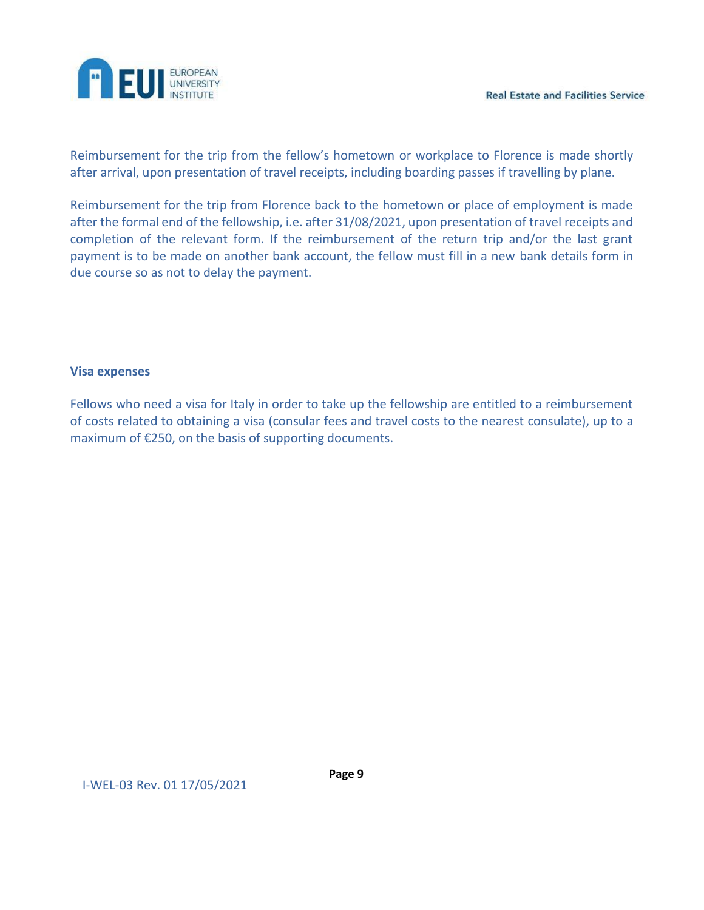

Reimbursement for the trip from the fellow's hometown or workplace to Florence is made shortly after arrival, upon presentation of travel receipts, including boarding passes if travelling by plane.

Reimbursement for the trip from Florence back to the hometown or place of employment is made after the formal end of the fellowship, i.e. after 31/08/2021, upon presentation of travel receipts and completion of the relevant form. If the reimbursement of the return trip and/or the last grant payment is to be made on another bank account, the fellow must fill in a new bank details form in due course so as not to delay the payment.

#### **Visa expenses**

Fellows who need a visa for Italy in order to take up the fellowship are entitled to a reimbursement of costs related to obtaining a visa (consular fees and travel costs to the nearest consulate), up to a maximum of €250, on the basis of supporting documents.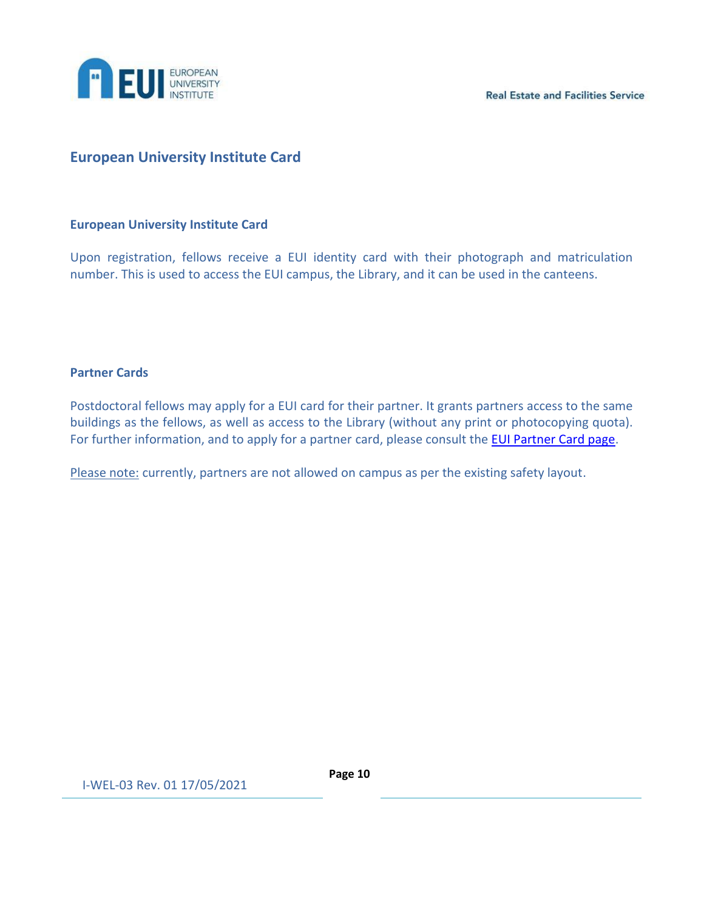

**Real Estate and Facilities Service** 

# <span id="page-9-0"></span>**European University Institute Card**

#### **European University Institute Card**

Upon registration, fellows receive a EUI identity card with their photograph and matriculation number. This is used to access the EUI campus, the Library, and it can be used in the canteens.

#### **Partner Cards**

Postdoctoral fellows may apply for a EUI card for their partner. It grants partners access to the same buildings as the fellows, as well as access to the Library (without any print or photocopying quota). For further information, and to apply for a partner card, please consult the **EUI Partner Card page**.

Please note: currently, partners are not allowed on campus as per the existing safety layout.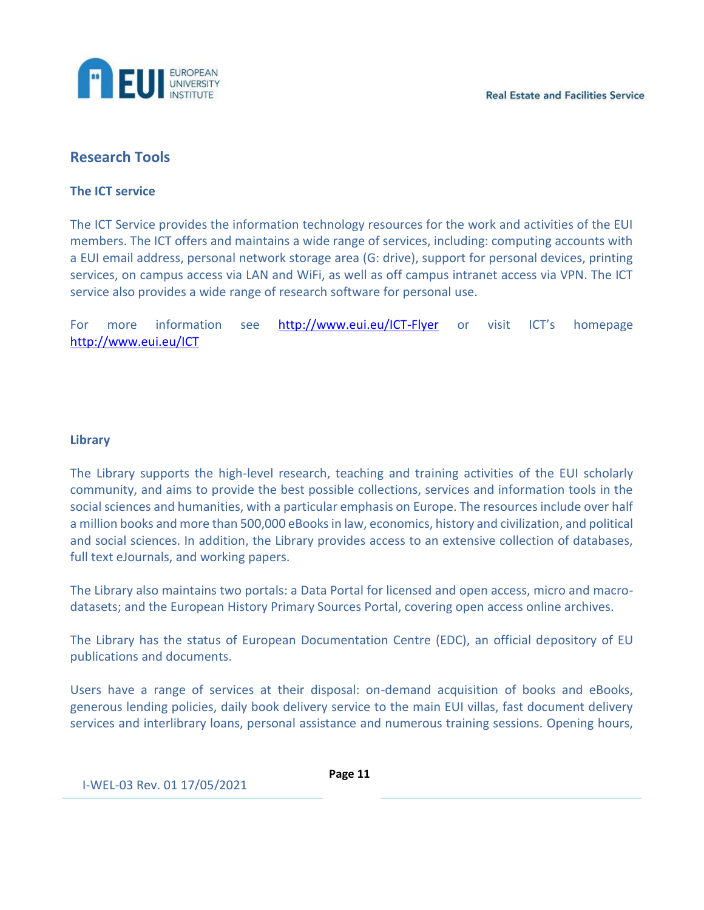

# <span id="page-10-0"></span>**Research Tools**

#### **The ICT service**

The ICT Service provides the information technology resources for the work and activities of the EUI members. The ICT offers and maintains a wide range of services, including: computing accounts with a EUI email address, personal network storage area (G: drive), support for personal devices, printing services, on campus access via LAN and WiFi, as well as off campus intranet access via VPN. The ICT service also provides a wide range of research software for personal use.

For more information see <http://www.eui.eu/ICT-Flyer> or visit ICT's homepage <http://www.eui.eu/ICT>

#### **Library**

The Library supports the high-level research, teaching and training activities of the EUI scholarly community, and aims to provide the best possible collections, services and information tools in the social sciences and humanities, with a particular emphasis on Europe. The resources include over half a million books and more than 500,000 eBooks in law, economics, history and civilization, and political and social sciences. In addition, the Library provides access to an extensive collection of databases, full text eJournals, and working papers.

The Library also maintains two portals: a Data Portal for licensed and open access, micro and macrodatasets; and the European History Primary Sources Portal, covering open access online archives.

The Library has the status of European Documentation Centre (EDC), an official depository of EU publications and documents.

Users have a range of services at their disposal: on-demand acquisition of books and eBooks, generous lending policies, daily book delivery service to the main EUI villas, fast document delivery services and interlibrary loans, personal assistance and numerous training sessions. Opening hours,

I-WEL-03 Rev. 01 17/05/2021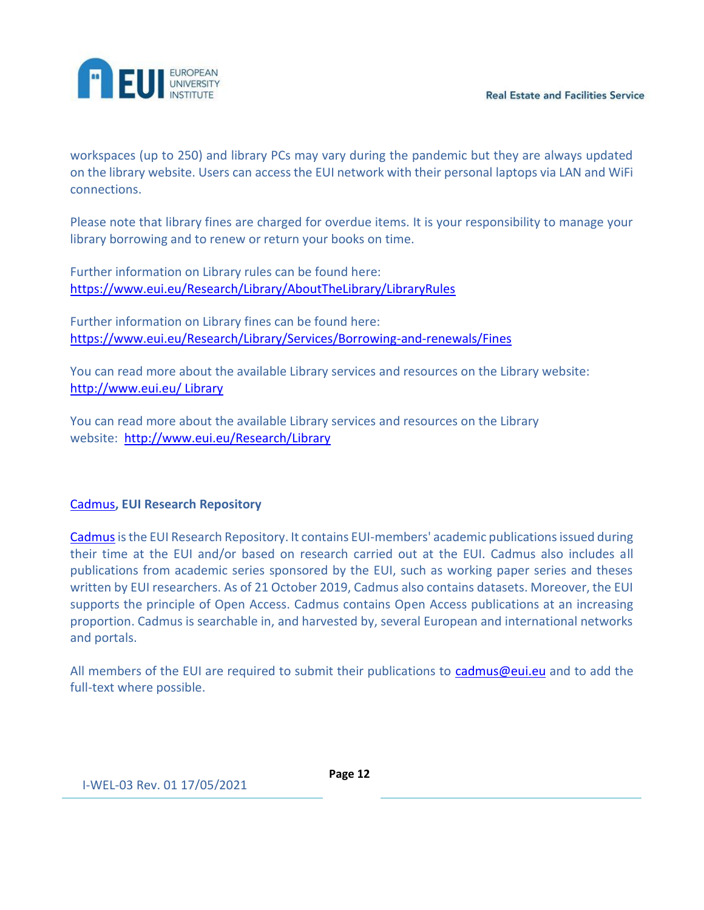

workspaces (up to 250) and library PCs may vary during the pandemic but they are always updated on the library website. Users can access the EUI network with their personal laptops via LAN and WiFi connections.

Please note that library fines are charged for overdue items. It is your responsibility to manage your library borrowing and to renew or return your books on time.

Further information on Library rules can be found here: [https://www.eui.eu/Research/Library/AboutTheLibrary/LibraryRules](https://eur03.safelinks.protection.outlook.com/?url=https%3A%2F%2Fwww.eui.eu%2FResearch%2FLibrary%2FAboutTheLibrary%2FLibraryRules&data=04%7C01%7CEUI4U.Welcome%40eui.eu%7Cb5d24703f17242906ff208d8b7e10371%7Cd3f434ee643c409f94aa6db2f23545ce%7C0%7C0%7C637461524342307974%7CUnknown%7CTWFpbGZsb3d8eyJWIjoiMC4wLjAwMDAiLCJQIjoiV2luMzIiLCJBTiI6Ik1haWwiLCJXVCI6Mn0%3D%7C1000&sdata=WOqDMBi8FRJuAiD%2Fssfvt4Qhsx9Po8dAOIbL6otvLHk%3D&reserved=0)

Further information on Library fines can be found here: [https://www.eui.eu/Research/Library/Services/Borrowing-and-renewals/Fines](https://eur03.safelinks.protection.outlook.com/?url=https%3A%2F%2Fwww.eui.eu%2FResearch%2FLibrary%2FServices%2FBorrowing-and-renewals%2FFines&data=04%7C01%7CEUI4U.Welcome%40eui.eu%7Cb5d24703f17242906ff208d8b7e10371%7Cd3f434ee643c409f94aa6db2f23545ce%7C0%7C0%7C637461524342317966%7CUnknown%7CTWFpbGZsb3d8eyJWIjoiMC4wLjAwMDAiLCJQIjoiV2luMzIiLCJBTiI6Ik1haWwiLCJXVCI6Mn0%3D%7C1000&sdata=jbE7oT15qHR2PPI5rR7%2BE3AKXadCFGfmKIGqDdFAfY0%3D&reserved=0)

You can read more about the available Library services and resources on the Library website: [http://www.eui.eu/ Library](https://eur03.safelinks.protection.outlook.com/?url=http%3A%2F%2Fwww.eui.eu%2FResearch%2FLibrary&data=04%7C01%7CEUI4U.Welcome%40eui.eu%7Cb5d24703f17242906ff208d8b7e10371%7Cd3f434ee643c409f94aa6db2f23545ce%7C0%7C0%7C637461524342327967%7CUnknown%7CTWFpbGZsb3d8eyJWIjoiMC4wLjAwMDAiLCJQIjoiV2luMzIiLCJBTiI6Ik1haWwiLCJXVCI6Mn0%3D%7C1000&sdata=Al6xXihStONCOeMnIbZuuRKWWeYPeXf7551EhD8YVvU%3D&reserved=0)

You can read more about the available Library services and resources on the Library website: [http://www.eui.eu/Research/Library](https://eur03.safelinks.protection.outlook.com/?url=http%3A%2F%2Fwww.eui.eu%2FResearch%2FLibrary&data=04%7C01%7CEUI4U.Welcome%40eui.eu%7Cb5d24703f17242906ff208d8b7e10371%7Cd3f434ee643c409f94aa6db2f23545ce%7C0%7C0%7C637461524342337961%7CUnknown%7CTWFpbGZsb3d8eyJWIjoiMC4wLjAwMDAiLCJQIjoiV2luMzIiLCJBTiI6Ik1haWwiLCJXVCI6Mn0%3D%7C1000&sdata=4l5e1YnLp%2FjTSCvIG9rI6Jdy3beDHBeXJwvPExNecLA%3D&reserved=0)

# [Cadmus](https://eur03.safelinks.protection.outlook.com/?url=http%3A%2F%2Fcadmus.eui.eu%2F&data=04%7C01%7CEUI4U.Welcome%40eui.eu%7Cb5d24703f17242906ff208d8b7e10371%7Cd3f434ee643c409f94aa6db2f23545ce%7C0%7C0%7C637461524342337961%7CUnknown%7CTWFpbGZsb3d8eyJWIjoiMC4wLjAwMDAiLCJQIjoiV2luMzIiLCJBTiI6Ik1haWwiLCJXVCI6Mn0%3D%7C1000&sdata=DBcS9aSHvRY5fgcLf3YmrBLHWRqYJLkH%2BsHkJ02gxdc%3D&reserved=0)**, EUI Research Repository**

[Cadmus](https://eur03.safelinks.protection.outlook.com/?url=https%3A%2F%2Fcadmus.eui.eu%2F&data=04%7C01%7CEUI4U.Welcome%40eui.eu%7Cb5d24703f17242906ff208d8b7e10371%7Cd3f434ee643c409f94aa6db2f23545ce%7C0%7C0%7C637461524342347957%7CUnknown%7CTWFpbGZsb3d8eyJWIjoiMC4wLjAwMDAiLCJQIjoiV2luMzIiLCJBTiI6Ik1haWwiLCJXVCI6Mn0%3D%7C1000&sdata=cpNSmiz0INUUCML%2F%2F9Y0QXTHioPPN1JuMH8FSmxcWXY%3D&reserved=0) is the EUI Research Repository. It contains EUI-members' academic publications issued during their time at the EUI and/or based on research carried out at the EUI. Cadmus also includes all publications from academic series sponsored by the EUI, such as working paper series and theses written by EUI researchers. As of 21 October 2019, Cadmus also contains datasets. Moreover, the EUI supports the principle of Open Access. Cadmus contains Open Access publications at an increasing proportion. Cadmus is searchable in, and harvested by, several European and international networks and portals.

All members of the EUI are required to submit their publications to [cadmus@eui.eu](mailto:cadmus@eui.eu) and to add the full-text where possible.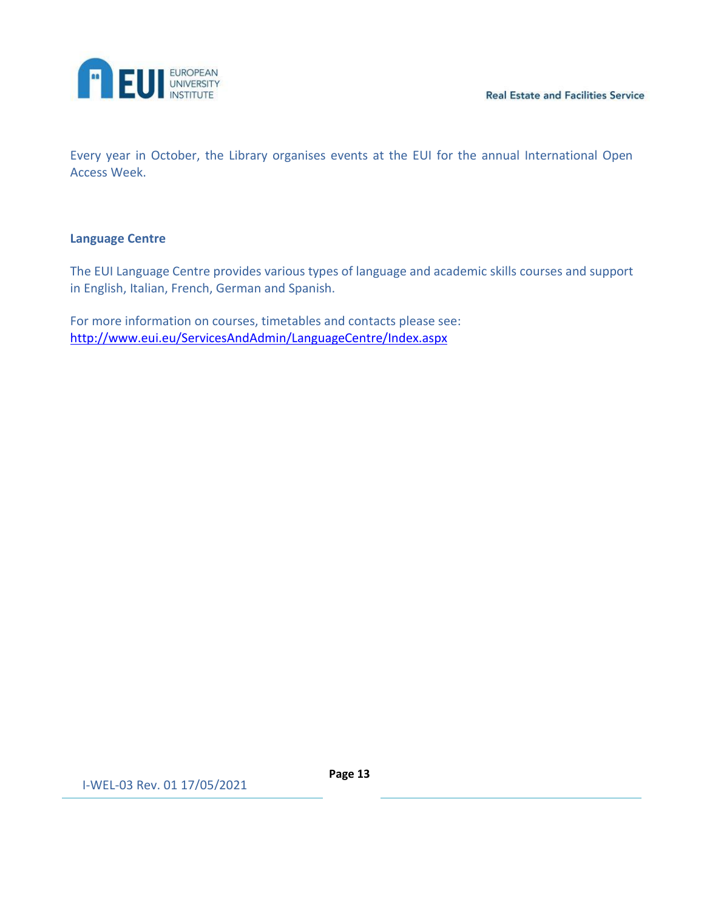

Every year in October, the Library organises events at the EUI for the annual International Open Access Week.

#### **Language Centre**

The EUI Language Centre provides various types of language and academic skills courses and support in English, Italian, French, German and Spanish.

For more information on courses, timetables and contacts please see: <http://www.eui.eu/ServicesAndAdmin/LanguageCentre/Index.aspx>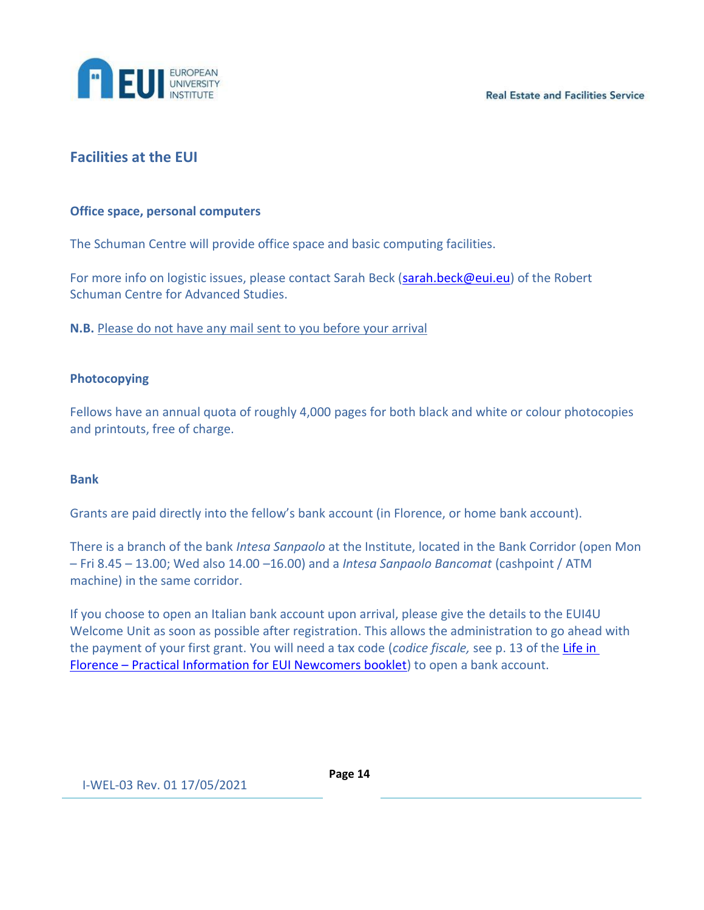

# <span id="page-13-0"></span>**Facilities at the EUI**

#### **Office space, personal computers**

The Schuman Centre will provide office space and basic computing facilities.

For more info on logistic issues, please contact Sarah Beck [\(sarah.beck@eui.eu\)](mailto:sarah.beck@eui.eu) of the Robert Schuman Centre for Advanced Studies.

**N.B.** Please do not have any mail sent to you before your arrival

#### **Photocopying**

Fellows have an annual quota of roughly 4,000 pages for both black and white or colour photocopies and printouts, free of charge.

#### **Bank**

Grants are paid directly into the fellow's bank account (in Florence, or home bank account).

There is a branch of the bank *Intesa Sanpaolo* at the Institute, located in the Bank Corridor (open Mon – Fri 8.45 – 13.00; Wed also 14.00 –16.00) and a *Intesa Sanpaolo Bancomat* (cashpoint / ATM machine) in the same corridor.

If you choose to open an Italian bank account upon arrival, please give the details to the EUI4U Welcome Unit as soon as possible after registration. This allows the administration to go ahead with the payment of your first grant. You will need a tax code (*codice fiscale,* see p. 13 of the [Life in](https://www.eui.eu/Documents/ServicesAdmin/AcademicService/PracticalInfo/WelcomeAcSVCweb.pdf)  Florence – [Practical Information for EUI Newcomers booklet\)](https://www.eui.eu/Documents/ServicesAdmin/AcademicService/PracticalInfo/WelcomeAcSVCweb.pdf) to open a bank account.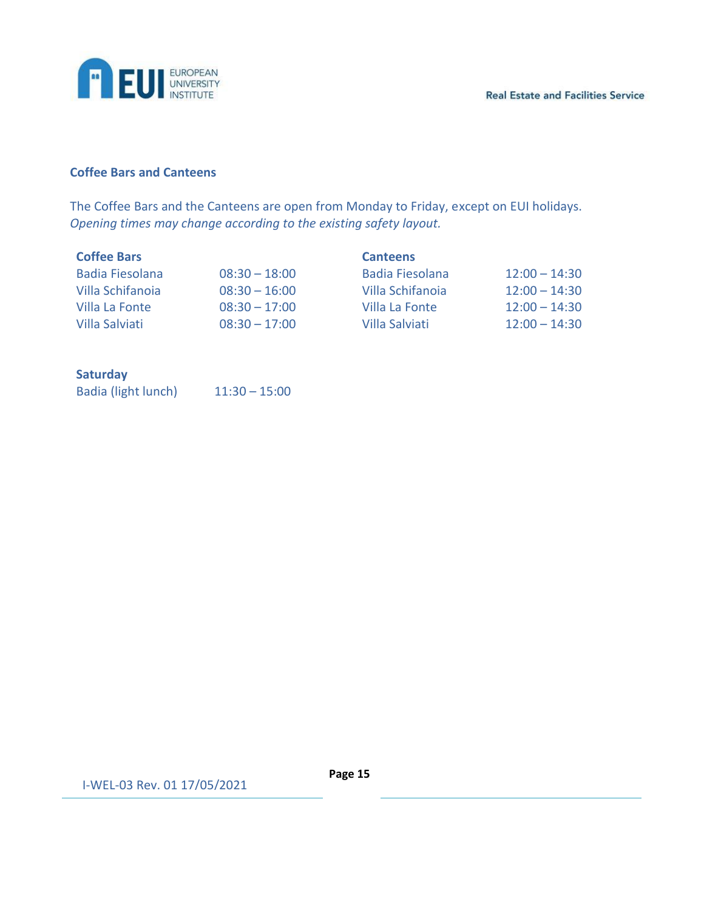

# **Coffee Bars and Canteens**

The Coffee Bars and the Canteens are open from Monday to Friday, except on EUI holidays. *Opening times may change according to the existing safety layout.*

| <b>Coffee Bars</b>     |                 | <b>Canteens</b>        |                 |  |
|------------------------|-----------------|------------------------|-----------------|--|
| <b>Badia Fiesolana</b> | $08:30 - 18:00$ | <b>Badia Fiesolana</b> | $12:00 - 14:30$ |  |
| Villa Schifanoia       | $08:30 - 16:00$ | Villa Schifanoia       | $12:00 - 14:30$ |  |
| Villa La Fonte         | $08:30 - 17:00$ | Villa La Fonte         | $12:00 - 14:30$ |  |
| Villa Salviati         | $08:30 - 17:00$ | Villa Salviati         | $12:00 - 14:30$ |  |

## **Saturday**

| Badia (light lunch) | $11:30 - 15:00$ |
|---------------------|-----------------|
|---------------------|-----------------|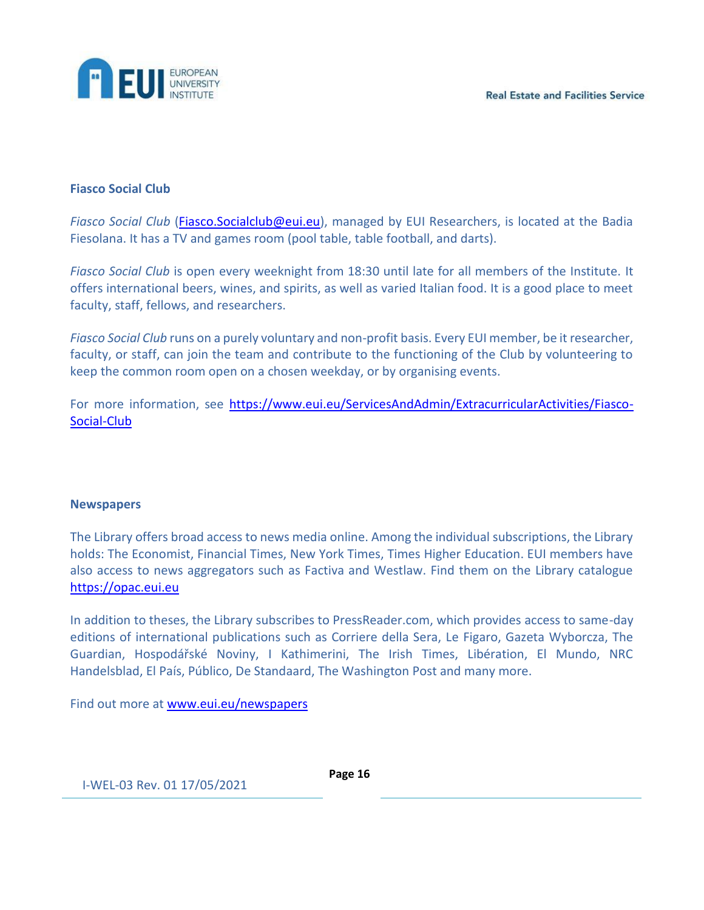

#### **Fiasco Social Club**

*Fiasco Social Club* [\(Fiasco.Socialclub@eui.eu\)](mailto:Fiasco.Socialclub@eui.eu), managed by EUI Researchers, is located at the Badia Fiesolana. It has a TV and games room (pool table, table football, and darts).

*Fiasco Social Club* is open every weeknight from 18:30 until late for all members of the Institute. It offers international beers, wines, and spirits, as well as varied Italian food. It is a good place to meet faculty, staff, fellows, and researchers.

*Fiasco Social Club* runs on a purely voluntary and non-profit basis. Every EUI member, be it researcher, faculty, or staff, can join the team and contribute to the functioning of the Club by volunteering to keep the common room open on a chosen weekday, or by organising events.

For more information, see [https://www.eui.eu/ServicesAndAdmin/ExtracurricularActivities/Fiasco-](https://www.eui.eu/ServicesAndAdmin/ExtracurricularActivities/Fiasco-Social-Club)[Social-Club](https://www.eui.eu/ServicesAndAdmin/ExtracurricularActivities/Fiasco-Social-Club)

#### **Newspapers**

The Library offers broad access to news media online. Among the individual subscriptions, the Library holds: The Economist, Financial Times, New York Times, Times Higher Education. EUI members have also access to news aggregators such as Factiva and Westlaw. Find them on the Library catalogue [https://opac.eui.eu](https://eur03.safelinks.protection.outlook.com/?url=https%3A%2F%2Fopac.eui.eu%2F&data=04%7C01%7CEUI4U.Welcome%40eui.eu%7Cb5d24703f17242906ff208d8b7e10371%7Cd3f434ee643c409f94aa6db2f23545ce%7C0%7C0%7C637461524342357951%7CUnknown%7CTWFpbGZsb3d8eyJWIjoiMC4wLjAwMDAiLCJQIjoiV2luMzIiLCJBTiI6Ik1haWwiLCJXVCI6Mn0%3D%7C1000&sdata=ylNQreleRwXzjBBdnoqwXM4I%2F44t1%2BVOfo4SrR%2BpVhs%3D&reserved=0)

In addition to theses, the Library subscribes to PressReader.com, which provides access to same-day editions of international publications such as Corriere della Sera, Le Figaro, Gazeta Wyborcza, The Guardian, Hospodářské Noviny, I Kathimerini, The Irish Times, Libération, El Mundo, NRC Handelsblad, El País, Público, De Standaard, The Washington Post and many more.

Find out more at [www.eui.eu/newspapers](https://eur03.safelinks.protection.outlook.com/?url=http%3A%2F%2Fwww.eui.eu%2Fnewspapers&data=04%7C01%7CEUI4U.Welcome%40eui.eu%7Cb5d24703f17242906ff208d8b7e10371%7Cd3f434ee643c409f94aa6db2f23545ce%7C0%7C0%7C637461524342357951%7CUnknown%7CTWFpbGZsb3d8eyJWIjoiMC4wLjAwMDAiLCJQIjoiV2luMzIiLCJBTiI6Ik1haWwiLCJXVCI6Mn0%3D%7C1000&sdata=Xe%2BZkG5vthSpwevbc77WTjUWDH82DDhSCx9sM5wvZAQ%3D&reserved=0)

I-WEL-03 Rev. 01 17/05/2021

**Page 16**